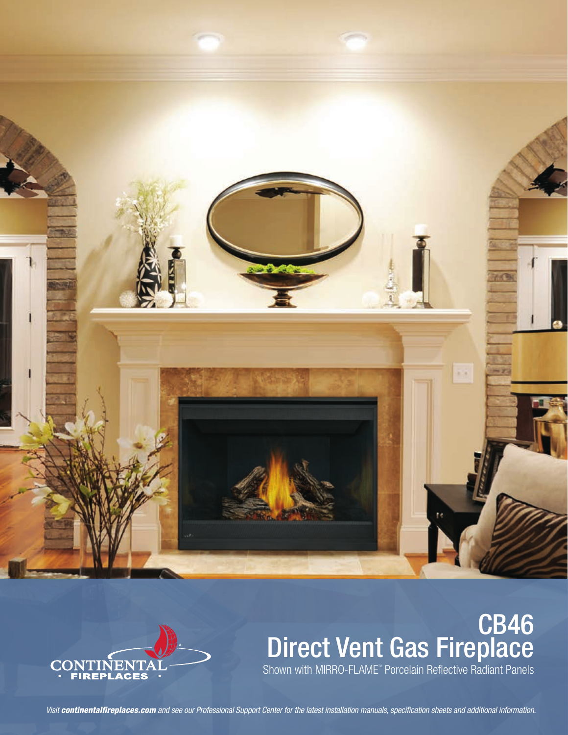



# **CB46** Direct Vent Gas Fireplace Shown with MIRRO-FLAME" Porcelain Reflective Radiant Panels

*Visit continentalfireplaces.com and see our Professional Support Center for the latest installation manuals, specification sheets and additional information.*